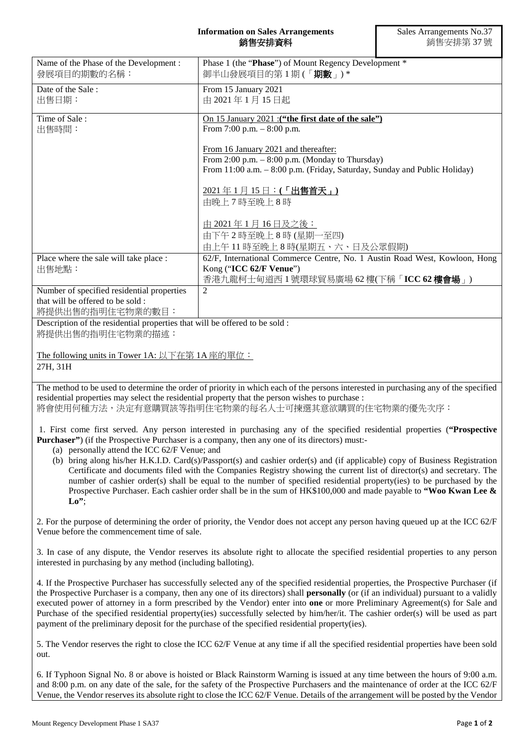## **Information on Sales Arrangements** 銷售安排資料

| Name of the Phase of the Development:<br>發展項目的期數的名稱:                                                | Phase 1 (the "Phase") of Mount Regency Development *<br>御半山發展項目的第1期(「 <b>期數</b> 」)*                                                                                                                                                                                                                                                                                                                                                                                                                                                                                                                                                                         |
|-----------------------------------------------------------------------------------------------------|-------------------------------------------------------------------------------------------------------------------------------------------------------------------------------------------------------------------------------------------------------------------------------------------------------------------------------------------------------------------------------------------------------------------------------------------------------------------------------------------------------------------------------------------------------------------------------------------------------------------------------------------------------------|
| Date of the Sale:<br>出售日期:                                                                          | From 15 January 2021<br>由 2021年1月15日起                                                                                                                                                                                                                                                                                                                                                                                                                                                                                                                                                                                                                       |
| Time of Sale:<br>出售時間:                                                                              | On 15 January 2021 : ("the first date of the sale")<br>From 7:00 p.m. $-8:00$ p.m.                                                                                                                                                                                                                                                                                                                                                                                                                                                                                                                                                                          |
|                                                                                                     | From 16 January 2021 and thereafter:<br>From 2:00 p.m. $-$ 8:00 p.m. (Monday to Thursday)                                                                                                                                                                                                                                                                                                                                                                                                                                                                                                                                                                   |
|                                                                                                     | From 11:00 a.m. - 8:00 p.m. (Friday, Saturday, Sunday and Public Holiday)                                                                                                                                                                                                                                                                                                                                                                                                                                                                                                                                                                                   |
|                                                                                                     | 2021年1月15日:(「出售首天」)<br>由晚上7時至晚上8時                                                                                                                                                                                                                                                                                                                                                                                                                                                                                                                                                                                                                           |
|                                                                                                     | <u>由 2021年1月16日及之後:</u><br>由下午2時至晚上8時(星期一至四)                                                                                                                                                                                                                                                                                                                                                                                                                                                                                                                                                                                                                |
| Place where the sale will take place :                                                              | 由上午11時至晚上8時(星期五、六、日及公眾假期)<br>62/F, International Commerce Centre, No. 1 Austin Road West, Kowloon, Hong                                                                                                                                                                                                                                                                                                                                                                                                                                                                                                                                                     |
| 出售地點:                                                                                               | Kong ("ICC 62/F Venue")<br>香港九龍柯士甸道西1號環球貿易廣場 62樓(下稱「ICC 62樓會場」)                                                                                                                                                                                                                                                                                                                                                                                                                                                                                                                                                                                             |
| Number of specified residential properties<br>that will be offered to be sold :<br>將提供出售的指明住宅物業的數目: | $\overline{2}$                                                                                                                                                                                                                                                                                                                                                                                                                                                                                                                                                                                                                                              |
| Description of the residential properties that will be offered to be sold :<br>將提供出售的指明住宅物業的描述:     |                                                                                                                                                                                                                                                                                                                                                                                                                                                                                                                                                                                                                                                             |
| The following units in Tower 1A: 以下在第 1A 座的單位:<br>27H, 31H                                          |                                                                                                                                                                                                                                                                                                                                                                                                                                                                                                                                                                                                                                                             |
|                                                                                                     | The method to be used to determine the order of priority in which each of the persons interested in purchasing any of the specified<br>residential properties may select the residential property that the person wishes to purchase :<br>將會使用何種方法,決定有意購買該等指明住宅物業的每名人士可揀選其意欲購買的住宅物業的優先次序:                                                                                                                                                                                                                                                                                                                                                                   |
| (a) personally attend the ICC 62/F Venue; and                                                       | 1. First come first served. Any person interested in purchasing any of the specified residential properties ("Prospective<br><b>Purchaser</b> ") (if the Prospective Purchaser is a company, then any one of its directors) must:-                                                                                                                                                                                                                                                                                                                                                                                                                          |
| $\mathbf{Lo}^{\prime\prime}$                                                                        | (b) bring along his/her H.K.I.D. Card(s)/Passport(s) and cashier order(s) and (if applicable) copy of Business Registration<br>Certificate and documents filed with the Companies Registry showing the current list of director(s) and secretary. The<br>number of cashier order(s) shall be equal to the number of specified residential property(ies) to be purchased by the<br>Prospective Purchaser. Each cashier order shall be in the sum of HK\$100,000 and made payable to "Woo Kwan Lee &                                                                                                                                                          |
| Venue before the commencement time of sale.                                                         | 2. For the purpose of determining the order of priority, the Vendor does not accept any person having queued up at the ICC 62/F                                                                                                                                                                                                                                                                                                                                                                                                                                                                                                                             |
| interested in purchasing by any method (including balloting).                                       | 3. In case of any dispute, the Vendor reserves its absolute right to allocate the specified residential properties to any person                                                                                                                                                                                                                                                                                                                                                                                                                                                                                                                            |
|                                                                                                     | 4. If the Prospective Purchaser has successfully selected any of the specified residential properties, the Prospective Purchaser (if<br>the Prospective Purchaser is a company, then any one of its directors) shall <b>personally</b> (or (if an individual) pursuant to a validly<br>executed power of attorney in a form prescribed by the Vendor) enter into one or more Preliminary Agreement(s) for Sale and<br>Purchase of the specified residential property(ies) successfully selected by him/her/it. The cashier order(s) will be used as part<br>payment of the preliminary deposit for the purchase of the specified residential property(ies). |
| out.                                                                                                | 5. The Vendor reserves the right to close the ICC 62/F Venue at any time if all the specified residential properties have been sold                                                                                                                                                                                                                                                                                                                                                                                                                                                                                                                         |
|                                                                                                     | 6. If Typhoon Signal No. 8 or above is hoisted or Black Rainstorm Warning is issued at any time between the hours of 9:00 a.m.<br>and 8:00 p.m. on any date of the sale, for the safety of the Prospective Purchasers and the maintenance of order at the ICC 62/F<br>Venue, the Vendor reserves its absolute right to close the ICC 62/F Venue. Details of the arrangement will be posted by the Vendor                                                                                                                                                                                                                                                    |